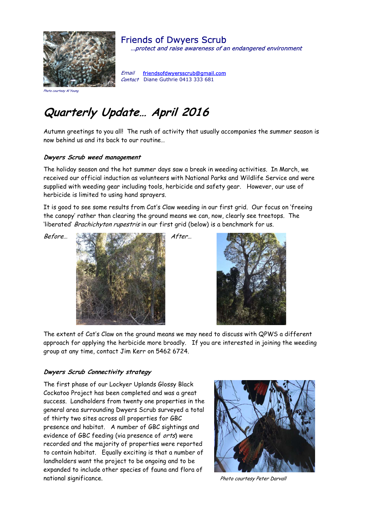

Friends of Dwyers Scrub …protect and raise awareness of an endangered environment

Email friendsofdwyersscrub@gmail.com Contact Diane Guthrie 0413 333 681

#### Photo courtesy Al You

# **Quarterly Update… April 2016**

Autumn greetings to you all! The rush of activity that usually accompanies the summer season is now behind us and its back to our routine…

#### **Dwyers Scrub weed management**

The holiday season and the hot summer days saw a break in weeding activities. In March, we received our official induction as volunteers with National Parks and Wildlife Service and were supplied with weeding gear including tools, herbicide and safety gear. However, our use of herbicide is limited to using hand sprayers.

It is good to see some results from Cat's Claw weeding in our first grid. Our focus on 'freeing the canopy' rather than clearing the ground means we can, now, clearly see treetops. The 'liberated' Brachichyton rupestris in our first grid (below) is a benchmark for us.





The extent of Cat's Claw on the ground means we may need to discuss with QPWS a different approach for applying the herbicide more broadly. If you are interested in joining the weeding group at any time, contact Jim Kerr on 5462 6724.

### **Dwyers Scrub Connectivity strategy**

The first phase of our Lockyer Uplands Glossy Black Cockatoo Project has been completed and was a great success. Landholders from twenty one properties in the general area surrounding Dwyers Scrub surveyed a total of thirty two sites across all properties for GBC presence and habitat. A number of GBC sightings and evidence of GBC feeding (via presence of orts) were recorded and the majority of properties were reported to contain habitat. Equally exciting is that a number of landholders want the project to be ongoing and to be expanded to include other species of fauna and flora of national significance. The state of the photo courtesy Peter Darvall